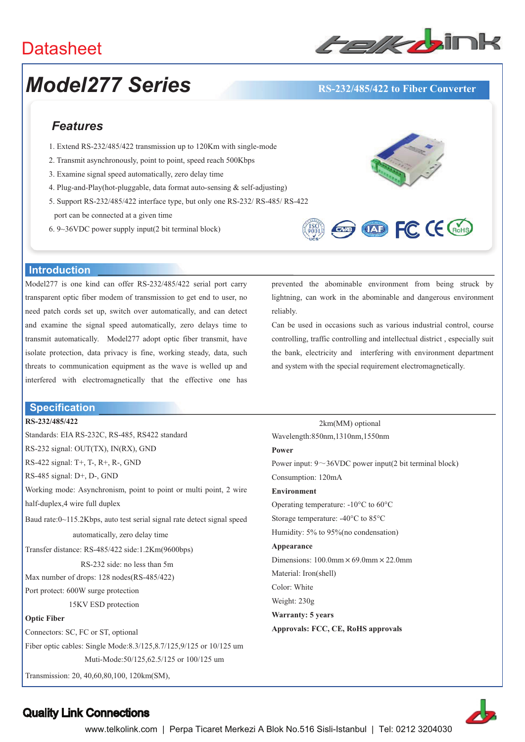### **Datasheet**



## *Model277 Series* **RS-232/485/422 to Fiber Converter**

### *Features*

- 1. Extend RS-232/485/422 transmission up to 120Km with single-mode
- 2. Transmit asynchronously, point to point, speed reach 500Kbps
- 3. Examine signal speed automatically, zero delay time
- 4. Plug-and-Play(hot-pluggable, data format auto-sensing & self-adjusting)
- 5. Support RS-232/485/422 interface type, but only one RS-232/ RS-485/ RS-422
- port can be connected at a given time
- 6. 9~36VDC power supply input(2 bit terminal block)





#### **Introduction**

Model277 is one kind can offer RS-232/485/422 serial port carry transparent optic fiber modem of transmission to get end to user, no need patch cords set up, switch over automatically, and can detect and examine the signal speed automatically, zero delays time to transmit automatically. Model277 adopt optic fiber transmit, have isolate protection, data privacy is fine, working steady, data, such threats to communication equipment as the wave is welled up and interfered with electromagnetically that the effective one has

#### **Specification**

#### **RS-232/485/422**

| W              |
|----------------|
| P <sub>0</sub> |
| Pc             |
| C0             |
| Eı             |
| O <sub>l</sub> |
| St             |
| Hι             |
| $\mathbf{A}$   |
| Di             |
| М              |
| C <sub>0</sub> |
| W              |
| W              |
| A <sub>l</sub> |
|                |
|                |
|                |
|                |

prevented the abominable environment from being struck by lightning, can work in the abominable and dangerous environment reliably.

Can be used in occasions such as various industrial control, course controlling, traffic controlling and intellectual district , especially suit the bank, electricity and interfering with environment department and system with the special requirement electromagnetically.

2km(MM) optional Wavelength:850nm,1310nm,1550nm **Power**  wer input:  $9 \sim 36$ VDC power input(2 bit terminal block) onsumption: 120mA **Environment**  perating temperature:  $-10^{\circ}$ C to 60 $^{\circ}$ C orage temperature:  $-40^{\circ}$ C to  $85^{\circ}$ C umidity:  $5\%$  to  $95\%$  (no condensation) **Appearance**  mensions:  $100.0$ mm  $\times$  69.0mm  $\times$  22.0mm aterial: Iron(shell) olor: White eight: 230g **Warranty: 5 years Approvals: FCC, CE, RoHS approvals** 



### Quality Link Connections